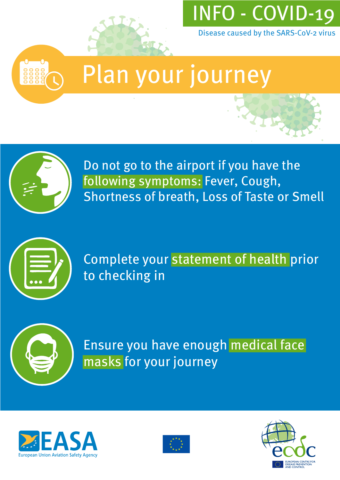



#### Plan your journey



Do not go to the airport if you have the following symptoms: Fever, Cough, Shortness of breath, Loss of Taste or Smell



Complete your statement of health prior to checking in



Ensure you have enough medical face masks for your journey





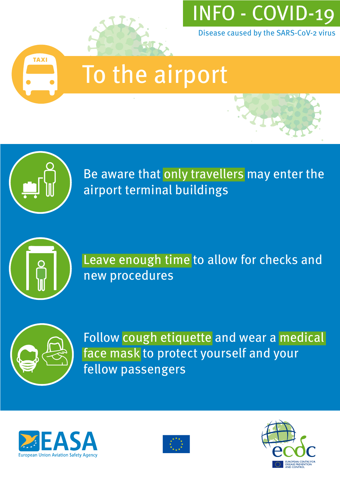



## To the airport



Be aware that only travellers may enter the airport terminal buildings



Leave enough time to allow for checks and new procedures



Follow cough etiquette and wear a medical face mask to protect yourself and your fellow passengers





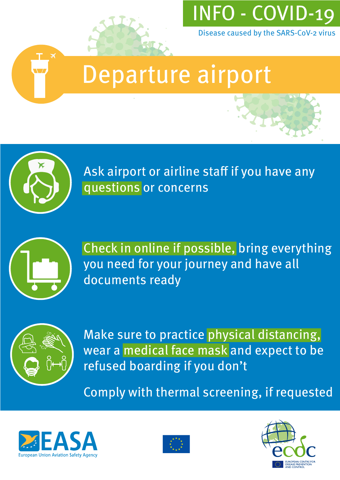

### Departure airport



Ask airport or airline staff if you have any questions or concerns



Check in online if possible, bring everything you need for your journey and have all documents ready



Make sure to practice physical distancing, wear a medical face mask and expect to be refused boarding if you don't

Comply with thermal screening, if requested





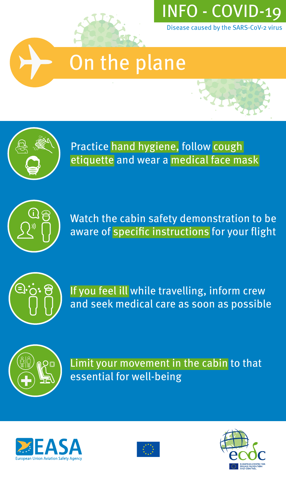

# On the plane



Practice hand hygiene, follow cough etiquette and wear a medical face mask



Watch the cabin safety demonstration to be aware of specific instructions for your flight



If you feel ill while travelling, inform crew and seek medical care as soon as possible



Limit your movement in the cabin to that essential for well-being